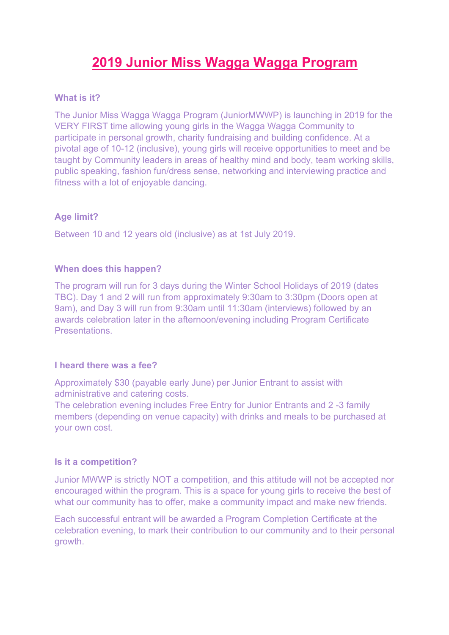# **2019 Junior Miss Wagga Wagga Program**

# **What is it?**

The Junior Miss Wagga Wagga Program (JuniorMWWP) is launching in 2019 for the VERY FIRST time allowing young girls in the Wagga Wagga Community to participate in personal growth, charity fundraising and building confidence. At a pivotal age of 10-12 (inclusive), young girls will receive opportunities to meet and be taught by Community leaders in areas of healthy mind and body, team working skills, public speaking, fashion fun/dress sense, networking and interviewing practice and fitness with a lot of enjoyable dancing.

#### **Age limit?**

Between 10 and 12 years old (inclusive) as at 1st July 2019.

#### **When does this happen?**

The program will run for 3 days during the Winter School Holidays of 2019 (dates TBC). Day 1 and 2 will run from approximately 9:30am to 3:30pm (Doors open at 9am), and Day 3 will run from 9:30am until 11:30am (interviews) followed by an awards celebration later in the afternoon/evening including Program Certificate Presentations.

#### **I heard there was a fee?**

Approximately \$30 (payable early June) per Junior Entrant to assist with administrative and catering costs.

The celebration evening includes Free Entry for Junior Entrants and 2 -3 family members (depending on venue capacity) with drinks and meals to be purchased at your own cost.

#### **Is it a competition?**

Junior MWWP is strictly NOT a competition, and this attitude will not be accepted nor encouraged within the program. This is a space for young girls to receive the best of what our community has to offer, make a community impact and make new friends.

Each successful entrant will be awarded a Program Completion Certificate at the celebration evening, to mark their contribution to our community and to their personal growth.